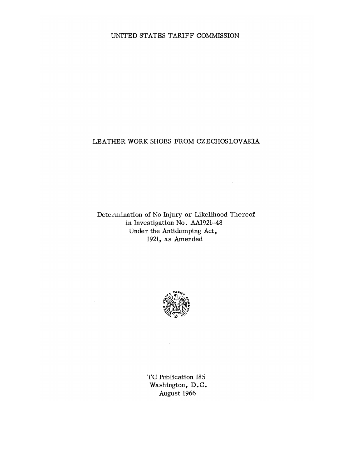### UNITED STATES TARIFF COMMISSION

## LEATHER WORK SHOES FROM CZECHOSLOVAKIA

 $\label{eq:2} \frac{1}{\sqrt{2}}\sum_{i=1}^n\frac{1}{\sqrt{2}}\sum_{j=1}^n\frac{1}{\sqrt{2}}\sum_{j=1}^n\frac{1}{\sqrt{2}}\sum_{j=1}^n\frac{1}{\sqrt{2}}\sum_{j=1}^n\frac{1}{\sqrt{2}}\sum_{j=1}^n\frac{1}{\sqrt{2}}\sum_{j=1}^n\frac{1}{\sqrt{2}}\sum_{j=1}^n\frac{1}{\sqrt{2}}\sum_{j=1}^n\frac{1}{\sqrt{2}}\sum_{j=1}^n\frac{1}{\sqrt{2}}\sum_{j=1}^n\frac{1$ 

Determination of No Injury or Likelihood Thereof in Investigation No. AA1921-48 Under the Antidumping Act, 1921, as Amended

 $\sim$ 

 $\sim$ 



 $\ddot{\phantom{a}}$ 

TC Publication 185 Washington, D.C. August 1966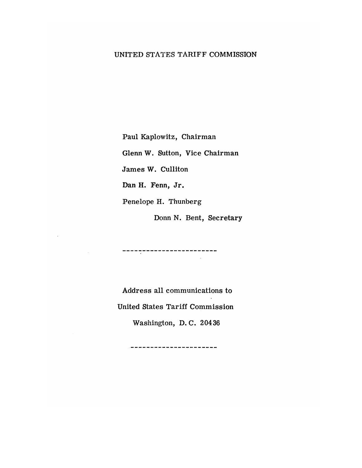## UNITED STATES TARIFF COMMISSION

Paul Kaplowitz, Chairman

Glenn W. Sutton, Vice Chairman

James W. Culliton

Dan H. Fenn, Jr.

 $\sim$ 

Penelope H. Thunberg

Donn N. Bent, Secretary

 $\sim 10^7$ 

--------------------------

Address all communications to United States Tariff Commission

Washington, D. C. 20436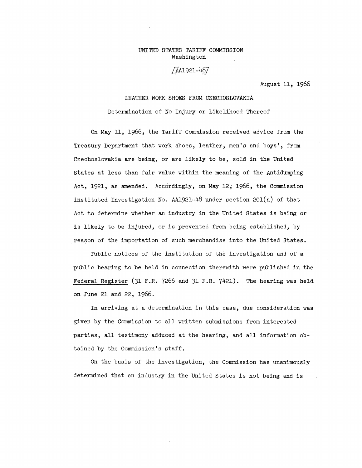#### UNITED STATES TARIFF COMMISSION Washington

## /AA1921-487

August 11, 1966

# LEATHER WORK SHOES FROM CZECHOSLOVAKIA Determination of No Injury or Likelihood Thereof

On May 11, 1966, the Tariff Commission received advice from the Treasury Department that work shoes, leather, men's and boys', from Czechoslovakia are being, or are likely to be, sold in the United States at less than fair value within the meaning of the Antidumping Act, 1921, as amended. Accordingly, on May 12, 1966, the Commission instituted. Investigation No. AA1921-48 under section 201(a) of that Act to determine whether an industry in the United States is being or is likely to be injured, or is prevented from being established, by . reason of the importation of such merchandise into the United States.

Public notices of the institution of the investigation and of a public hearing to be held in connection therewith were published in the Federal Register (31 F.R. 7266 and 31 F.R. 7421). The hearing was held. on June 21 and 22, 1966.

In arriving at a determination in this case, due consideration was given by the Commission to all written submissions from interested parties, all testimony adduced at the hearing, and all information obtained by the Commission's staff.

On the basis of the investigation, the Commission has unanimously determined that an industry in the United States is not being and is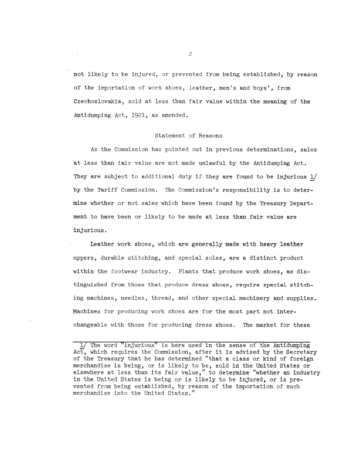not likely to be injured, or prevented from being established, by reason of the importation of work shoes, leather, men's and boys', from Czechoslovakia, sold at less than fair value within the meaning of the Antidumping Act, 1921, as amended.

#### Statement of Reasons

As the Commission has pointed out in previous determinations, sales at less than fair value are not made unlawful by the Antidumping Act. They are subject to additional duty if they are found to be injurious  $1/$ by the Tariff Commission. The Commission's responsibility is to determine whether or not sales which have been found by the Treasury Department to have been or likely to be made at less than fair value are injurious.

Leather work shoes, which are generally made with heavy leather uppers, durable stitching, and special soles, are a distinct product within the footwear industry. Plants that produce work shoes, as distinguished from those that produce dress shoes, require special stitching machines, needles, thread, and other special machinery and supplies. Machines for producing work shoes are for the most part not interchangeable with those for producing dress shoes. The market for these

1/ The word "injurious" is here used in the sense of the Antidumping Act, which requires the Commission, after it is advised by the Secretary of the Treasury that he has determined "that a class or kind of foreign merchandise is being, or is likely to be, sold in the United States or elsewhere at less than its fair value," to determine "whether an industry in the United States is being or is likely to be injured, or is prevented from being established, by reason of the importation of such merchandise into the United States."

2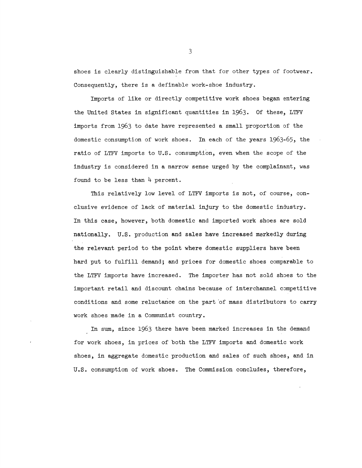shoes is clearly distinguishable from that for other types of footwear. Consequently, there is a definable work-shoe industry.

Imports of like or directly competitive work shoes began entering the United States in significant quantities in 1963. Of these, LTFV imports from 1963 to date have represented a small proportion of the domestic consumption of work shoes. In each of the years 1963-65, the ratio of LTFV imports to U.S. consumption, even when the scope of the industry is considered in a narrow sense urged by the complainant, was found to be less than  $4$  percent.

This relatively low level of LTFV imports is not, of course, conclusive evidence of lack of material injury to the domestic industry. In this case, however, both domestic and imported work shoes are sold nationally. U.S. production and sales have increased markedly during the relevant period to the point where domestic suppliers have been hard put to fulfill demand; and prices for domestic shoes comparable to the LTFV imports have increased. The importer has not sold shoes to the important retail and discount chains because of interchannel competitive conditions and some reluctance on the part 'of mass distributors to carry work shoes made in a Connunist country.

In sum, since 1963 there have been marked increases in the demand for work shoes, in prices of both the LTFV imports and domestic work shoes, in aggregate domestic production and sales of such shoes, and in U.S. consumption of work shoes. The Commission concludes, therefore,

3